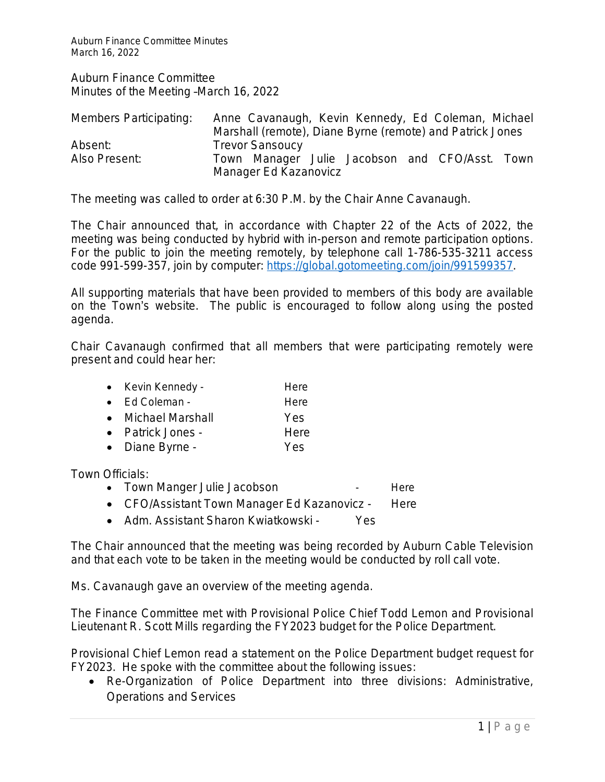Auburn Finance Committee Minutes March 16, 2022

Auburn Finance Committee Minutes of the Meeting –March 16, 2022

| Members Participating: | Anne Cavanaugh, Kevin Kennedy, Ed Coleman, Michael        |
|------------------------|-----------------------------------------------------------|
|                        | Marshall (remote), Diane Byrne (remote) and Patrick Jones |
| Absent:                | <b>Trevor Sansoucy</b>                                    |
| Also Present:          | Town Manager Julie Jacobson and CFO/Asst.<br>Town         |
|                        | Manager Ed Kazanovicz                                     |

The meeting was called to order at 6:30 P.M. by the Chair Anne Cavanaugh.

The Chair announced that, in accordance with Chapter 22 of the Acts of 2022, the meeting was being conducted by hybrid with in-person and remote participation options. For the public to join the meeting remotely, by telephone call 1-786-535-3211 access code 991-599-357, join by computer:<https://global.gotomeeting.com/join/991599357>.

All supporting materials that have been provided to members of this body are available on the Town's website. The public is encouraged to follow along using the posted agenda.

Chair Cavanaugh confirmed that all members that were participating remotely were present and could hear her:

|  | Kevin Kennedy - | Here |
|--|-----------------|------|
|--|-----------------|------|

- Ed Coleman The Here
- Michael Marshall Yes
- Patrick Jones Here
- Diane Byrne Yes

Town Officials:

- Town Manger Julie Jacobson The Communist Here
- CFO/Assistant Town Manager Ed Kazanovicz Here
- Adm. Assistant Sharon Kwiatkowski Yes

The Chair announced that the meeting was being recorded by Auburn Cable Television and that each vote to be taken in the meeting would be conducted by roll call vote.

Ms. Cavanaugh gave an overview of the meeting agenda.

The Finance Committee met with Provisional Police Chief Todd Lemon and Provisional Lieutenant R. Scott Mills regarding the FY2023 budget for the Police Department.

Provisional Chief Lemon read a statement on the Police Department budget request for FY2023. He spoke with the committee about the following issues:

 Re-Organization of Police Department into three divisions: Administrative, Operations and Services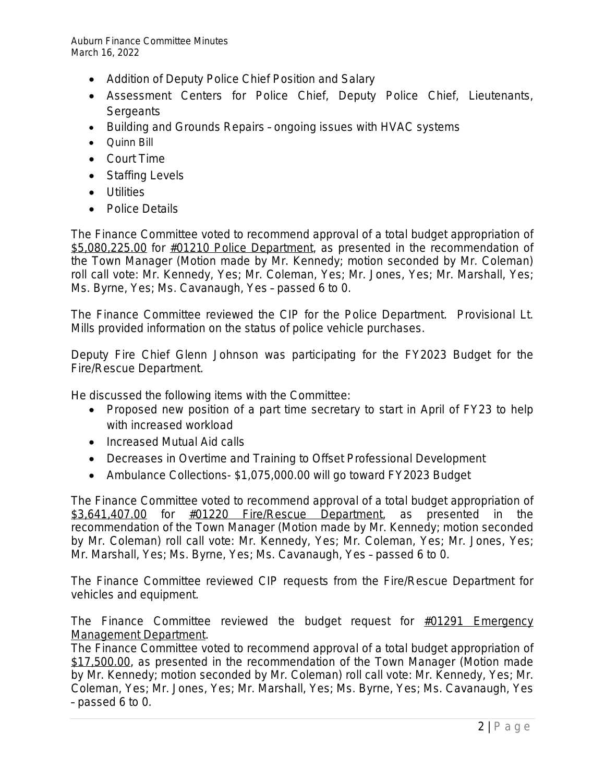Auburn Finance Committee Minutes March 16, 2022

- Addition of Deputy Police Chief Position and Salary
- Assessment Centers for Police Chief, Deputy Police Chief, Lieutenants, **Sergeants**
- Building and Grounds Repairs ongoing issues with HVAC systems
- Quinn Bill
- Court Time
- Staffing Levels
- **•** Utilities
- Police Details

The Finance Committee voted to recommend approval of a total budget appropriation of \$5,080,225.00 for #01210 Police Department, as presented in the recommendation of the Town Manager (Motion made by Mr. Kennedy; motion seconded by Mr. Coleman) roll call vote: Mr. Kennedy, Yes; Mr. Coleman, Yes; Mr. Jones, Yes; Mr. Marshall, Yes; Ms. Byrne, Yes; Ms. Cavanaugh, Yes – passed 6 to 0.

The Finance Committee reviewed the CIP for the Police Department. Provisional Lt. Mills provided information on the status of police vehicle purchases.

Deputy Fire Chief Glenn Johnson was participating for the FY2023 Budget for the Fire/Rescue Department.

He discussed the following items with the Committee:

- Proposed new position of a part time secretary to start in April of FY23 to help with increased workload
- Increased Mutual Aid calls
- Decreases in Overtime and Training to Offset Professional Development
- Ambulance Collections- \$1,075,000.00 will go toward FY2023 Budget

The Finance Committee voted to recommend approval of a total budget appropriation of \$3,641,407.00 for  $\frac{\text{\#01220}}{\text{Fire/Rescue}}$  Department, as presented in the recommendation of the Town Manager (Motion made by Mr. Kennedy; motion seconded by Mr. Coleman) roll call vote: Mr. Kennedy, Yes; Mr. Coleman, Yes; Mr. Jones, Yes; Mr. Marshall, Yes; Ms. Byrne, Yes; Ms. Cavanaugh, Yes – passed 6 to 0.

The Finance Committee reviewed CIP requests from the Fire/Rescue Department for vehicles and equipment.

The Finance Committee reviewed the budget request for  $#01291$  Emergency Management Department.

The Finance Committee voted to recommend approval of a total budget appropriation of \$17,500.00, as presented in the recommendation of the Town Manager (Motion made by Mr. Kennedy; motion seconded by Mr. Coleman) roll call vote: Mr. Kennedy, Yes; Mr. Coleman, Yes; Mr. Jones, Yes; Mr. Marshall, Yes; Ms. Byrne, Yes; Ms. Cavanaugh, Yes – passed 6 to 0.